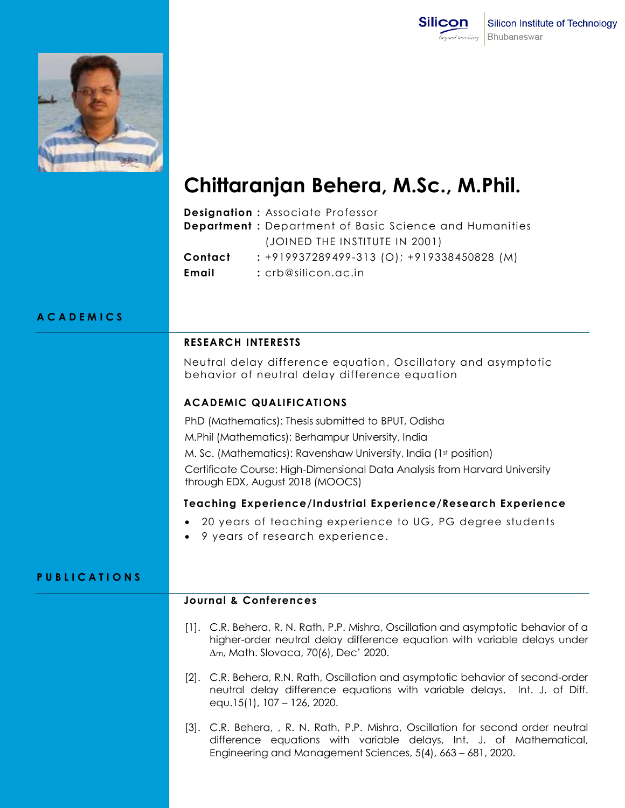



# **Chittaranjan Behera, M.Sc., M.Phil.**

|         | <b>Designation: Associate Professor</b>                       |
|---------|---------------------------------------------------------------|
|         | <b>Department:</b> Department of Basic Science and Humanities |
|         | (JOINED THE INSTITUTE IN 2001)                                |
| Contact | $: +919937289499-313$ (O); $+919338450828$ (M)                |
| Email   | : crb@silicon.ac.in                                           |

### **A C A D E M I C S**

#### **RESEARCH INTERESTS**

Neutral delay difference equation, Oscillatory and asymptotic behavior of neutral delay difference equation

#### **ACADEMIC QUALIFICATIONS**

PhD (Mathematics): Thesis submitted to BPUT, Odisha

M.Phil (Mathematics): Berhampur University, India

M. Sc. (Mathematics): Ravenshaw University, India (1st position)

Certificate Course: High-Dimensional Data Analysis from Harvard University through EDX, August 2018 (MOOCS)

## **Teaching Experience/Industrial Experience/Research Experience**

- 20 years of teaching experience to UG, PG degree students
- 9 years of research experience.

#### **P U B L I C A T I O N S**

# **Journal & Conferences**

- [1]. C.R. Behera, R. N. Rath, P.P. Mishra, Oscillation and asymptotic behavior of a higher-order neutral delay difference equation with variable delays under ∆m, Math. Slovaca, 70(6), Dec' 2020.
- [2]. C.R. Behera, R.N. Rath, Oscillation and asymptotic behavior of second-order neutral delay difference equations with variable delays, Int. J. of Diff. equ.15(1), 107 – 126, 2020.
- [3]. C.R. Behera, , R. N. Rath, P.P. Mishra, Oscillation for second order neutral difference equations with variable delays, Int. J. of Mathematical, Engineering and Management Sciences, 5(4), 663 – 681, 2020.